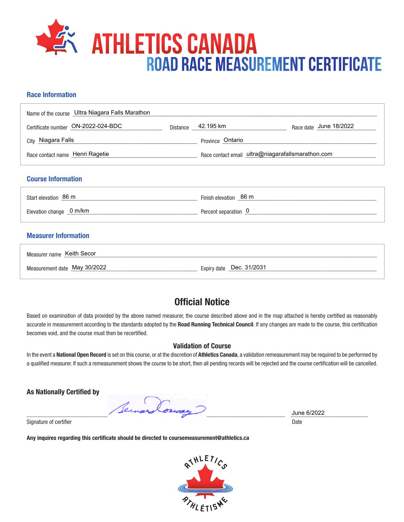

## **Race Information**

| Name of the course Ultra Niagara Falls Marathon |                                                   |                        |
|-------------------------------------------------|---------------------------------------------------|------------------------|
| Certificate number ON-2022-024-BDC              | Distance 42.195 km                                | Race date June 18/2022 |
| City Niagara Falls                              | Province Ontario                                  |                        |
| Race contact name Henri Ragetie                 | Race contact email ultra@niagarafallsmarathon.com |                        |
| <b>Course Information</b>                       |                                                   |                        |
| Start elevation 86 m                            | Finish elevation 86 m                             |                        |
| Elevation change 0 m/km                         | Percent separation 0                              |                        |
| <b>Measurer Information</b>                     |                                                   |                        |
| Measurer name Keith Secor                       |                                                   |                        |
| Measurement date May 30/2022                    | Expiry date _Dec. 31/2031                         |                        |

## **Official Notice**

Based on examination of data provided by the above named measurer, the course described above and in the map attached is hereby certified as reasonably accurate in measurement according to the standards adopted by the **Road Running Technical Council**. If any changes are made to the course, this certification becomes void, and the course must then be recertified.

## **Validation of Course**

In the event a **National Open Record** is set on this course, or at the discretion of **Athletics Canada**, a validation remeasurement may be required to be performed by a qualified measurer. If such a remeasurement shows the course to be short, then all pending records will be rejected and the course certification will be cancelled.

**As Nationally Certified by**

Per  $\frac{3 \text{ line } 6/2022}{\text{ line } 6/2022}$ 

Signature of certifier Date Date of Certifier and Contract of Certifier and Date Date of Certifier and Date Date of Certifier and Date of Certifier and Date of Certifier and Date of Certifier and Date of Certifier and Date

**Any inquires regarding this certificate should be directed to coursemeasurement@athletics.ca**



June 6/2022